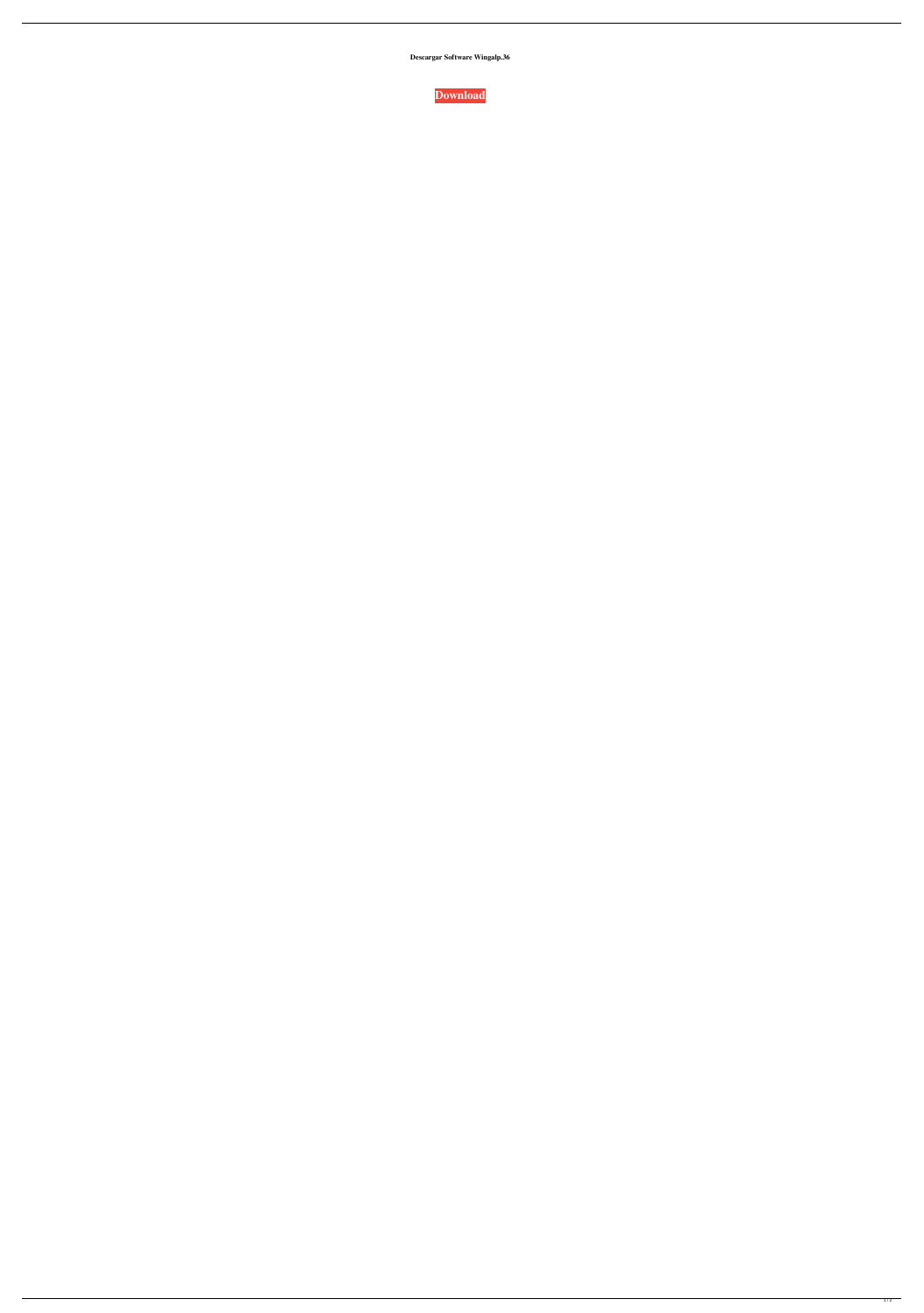**Descargar Software Wingalp.36**